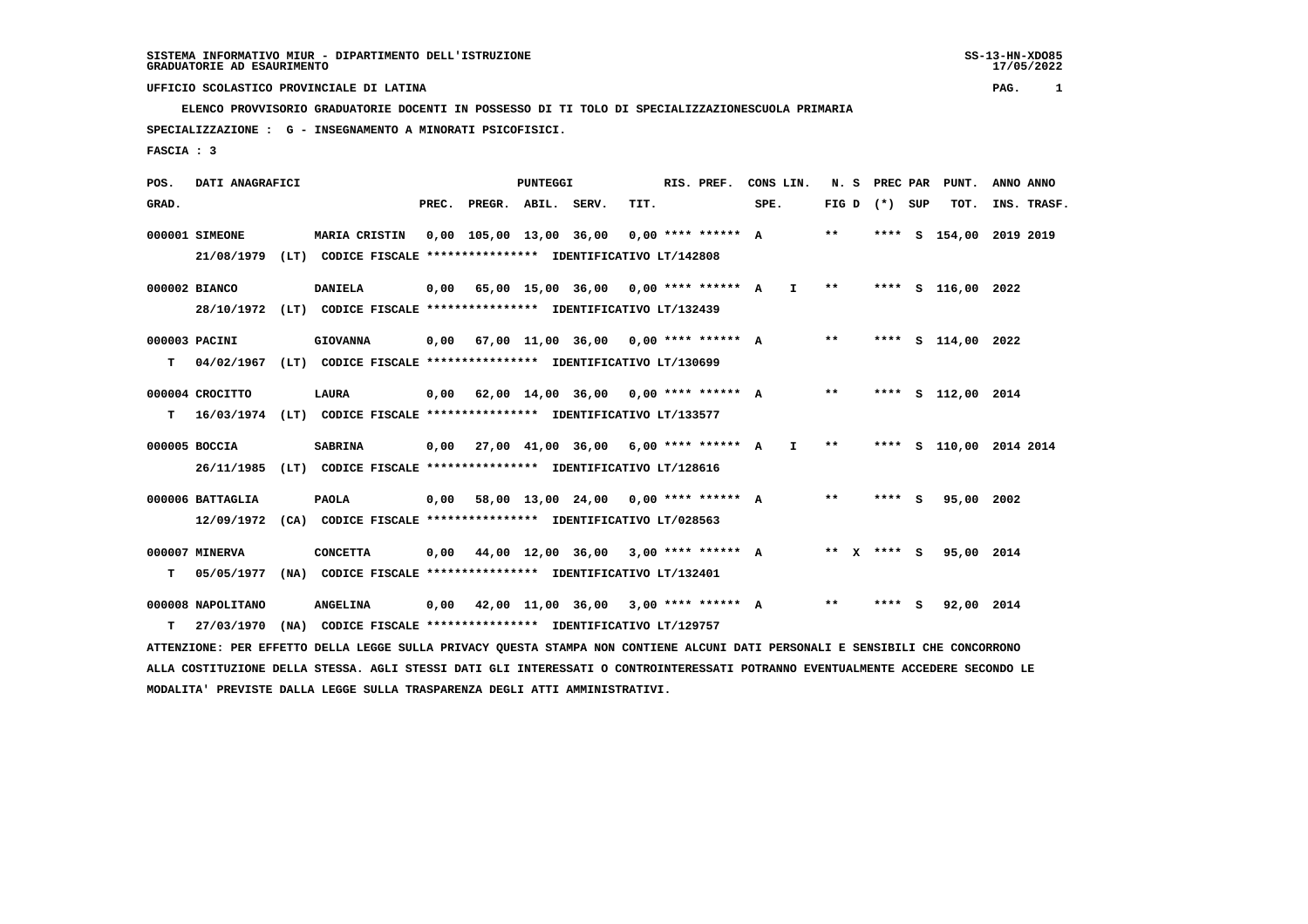**ELENCO PROVVISORIO GRADUATORIE DOCENTI IN POSSESSO DI TI TOLO DI SPECIALIZZAZIONESCUOLA PRIMARIA**

 **SPECIALIZZAZIONE : G - INSEGNAMENTO A MINORATI PSICOFISICI.**

 **FASCIA : 3**

| POS.  | DATI ANAGRAFICI   |                                                                          |       |              | PUNTEGGI |                                             |      | RIS. PREF. |      | CONS LIN.    | N. S  | PREC PAR          |     | PUNT.                   | ANNO ANNO   |
|-------|-------------------|--------------------------------------------------------------------------|-------|--------------|----------|---------------------------------------------|------|------------|------|--------------|-------|-------------------|-----|-------------------------|-------------|
| GRAD. |                   |                                                                          | PREC. | PREGR. ABIL. |          | SERV.                                       | TIT. |            | SPE. |              |       | FIG $D$ $(*)$ SUP |     | TOT.                    | INS. TRASF. |
|       | 000001 SIMEONE    | MARIA CRISTIN                                                            |       |              |          | 0,00 105,00 13,00 36,00 0,00 **** ****** A  |      |            |      |              | $* *$ |                   |     | **** S 154,00 2019 2019 |             |
|       |                   | 21/08/1979 (LT) CODICE FISCALE *************** IDENTIFICATIVO LT/142808  |       |              |          |                                             |      |            |      |              |       |                   |     |                         |             |
|       | 000002 BIANCO     | <b>DANIELA</b>                                                           |       |              |          | $0,00$ 65,00 15,00 36,00 0,00 **** ****** A |      |            |      | $\mathbf{I}$ | $***$ |                   |     | **** S 116,00 2022      |             |
|       |                   | 28/10/1972 (LT) CODICE FISCALE **************** IDENTIFICATIVO LT/132439 |       |              |          |                                             |      |            |      |              |       |                   |     |                         |             |
|       | 000003 PACINI     | <b>GIOVANNA</b>                                                          |       |              |          | 0,00 67,00 11,00 36,00 0,00 **** ****** A   |      |            |      |              | $* *$ |                   |     | **** S 114,00 2022      |             |
| T.    |                   | 04/02/1967 (LT) CODICE FISCALE **************** IDENTIFICATIVO LT/130699 |       |              |          |                                             |      |            |      |              |       |                   |     |                         |             |
|       | 000004 CROCITTO   | LAURA                                                                    |       |              |          | $0.00$ 62.00 14.00 36.00 0.00 **** ****** A |      |            |      |              | $***$ |                   |     | **** S 112,00 2014      |             |
| т     |                   | 16/03/1974 (LT) CODICE FISCALE **************** IDENTIFICATIVO LT/133577 |       |              |          |                                             |      |            |      |              |       |                   |     |                         |             |
|       | 000005 BOCCIA     | <b>SABRINA</b>                                                           |       |              |          | $0,00$ 27,00 41,00 36,00 6,00 **** ****** A |      |            |      | $\mathbf{I}$ | $***$ |                   |     | **** S 110,00 2014 2014 |             |
|       |                   | 26/11/1985 (LT) CODICE FISCALE *************** IDENTIFICATIVO LT/128616  |       |              |          |                                             |      |            |      |              |       |                   |     |                         |             |
|       | 000006 BATTAGLIA  | <b>PAOLA</b>                                                             |       |              |          | $0,00$ 58,00 13,00 24,00 0,00 **** ****** A |      |            |      |              | $* *$ | **** S            |     | 95,00 2002              |             |
|       |                   | 12/09/1972 (CA) CODICE FISCALE *************** IDENTIFICATIVO LT/028563  |       |              |          |                                             |      |            |      |              |       |                   |     |                         |             |
|       | 000007 MINERVA    | <b>CONCETTA</b>                                                          |       |              |          | $0,00$ 44,00 12,00 36,00 3,00 **** ****** A |      |            |      |              |       | ** x **** S       |     | 95,00 2014              |             |
| т     |                   | 05/05/1977 (NA) CODICE FISCALE **************** IDENTIFICATIVO LT/132401 |       |              |          |                                             |      |            |      |              |       |                   |     |                         |             |
|       | 000008 NAPOLITANO | <b>ANGELINA</b>                                                          |       |              |          | $0,00$ 42,00 11,00 36,00 3,00 **** ****** A |      |            |      |              | $* *$ | ****              | - 5 | 92,00 2014              |             |
| т     | 27/03/1970        | (NA) CODICE FISCALE **************** IDENTIFICATIVO LT/129757            |       |              |          |                                             |      |            |      |              |       |                   |     |                         |             |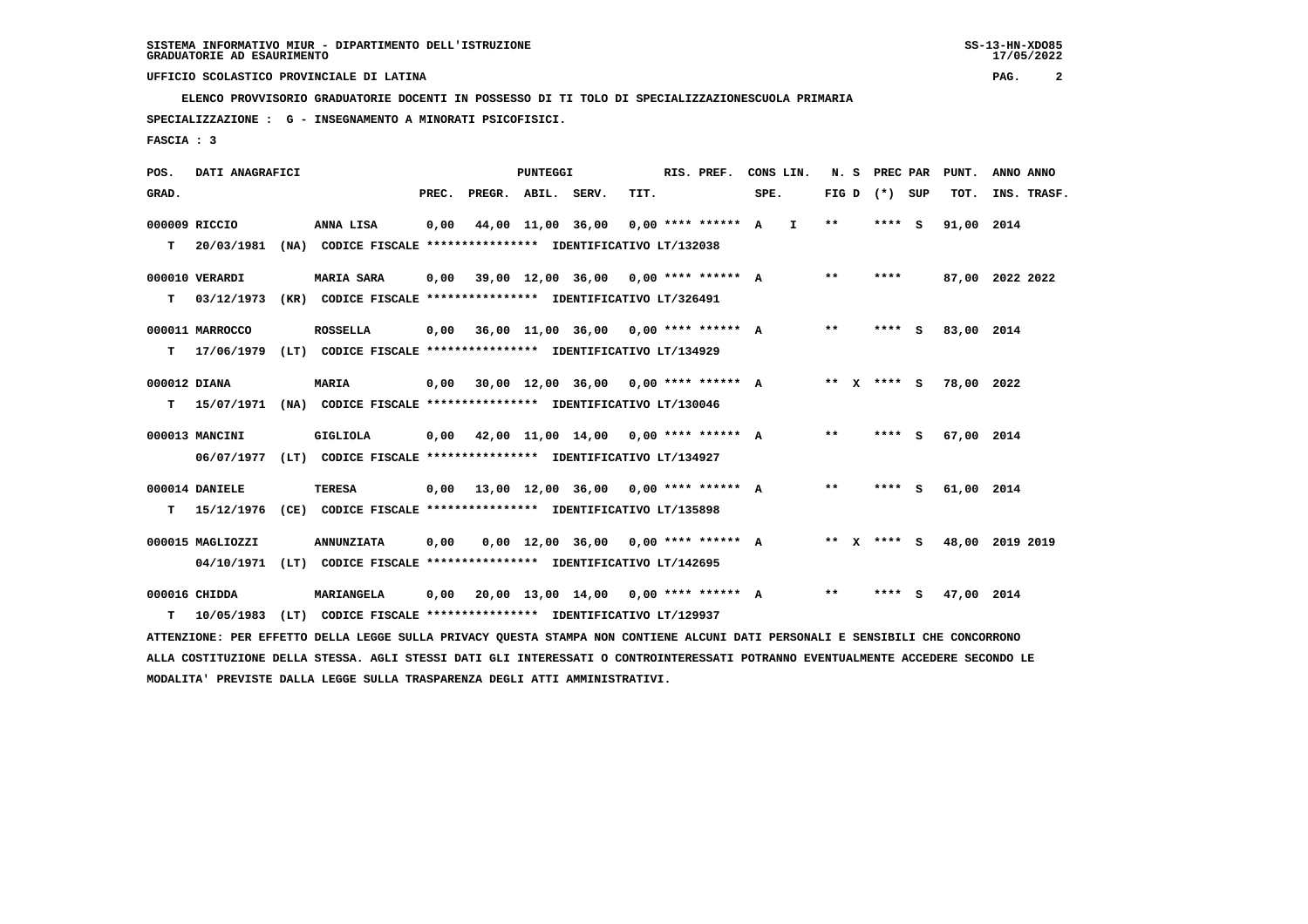**ELENCO PROVVISORIO GRADUATORIE DOCENTI IN POSSESSO DI TI TOLO DI SPECIALIZZAZIONESCUOLA PRIMARIA**

 **SPECIALIZZAZIONE : G - INSEGNAMENTO A MINORATI PSICOFISICI.**

 **FASCIA : 3**

| POS.         | DATI ANAGRAFICI  |      |                                                                                                                               |       |                    | PUNTEGGI          |                                        |      | RIS. PREF.          |      | CONS LIN. | N.S          | PREC PAR          | PUNT.                  | ANNO ANNO |             |
|--------------|------------------|------|-------------------------------------------------------------------------------------------------------------------------------|-------|--------------------|-------------------|----------------------------------------|------|---------------------|------|-----------|--------------|-------------------|------------------------|-----------|-------------|
| GRAD.        |                  |      |                                                                                                                               | PREC. | PREGR. ABIL. SERV. |                   |                                        | TIT. |                     | SPE. |           |              | FIG $D$ $(*)$ SUP | TOT.                   |           | INS. TRASF. |
|              | 000009 RICCIO    |      | ANNA LISA                                                                                                                     | 0,00  |                    | 44,00 11,00 36,00 |                                        |      | $0.00********* A I$ |      |           | $* *$        | **** S            | 91,00 2014             |           |             |
| T.           | 20/03/1981       |      | (NA) CODICE FISCALE **************** IDENTIFICATIVO LT/132038                                                                 |       |                    |                   |                                        |      |                     |      |           |              |                   |                        |           |             |
|              | 000010 VERARDI   |      | <b>MARIA SARA</b>                                                                                                             | 0,00  |                    |                   | 39,00 12,00 36,00 0,00 **** ****** A   |      |                     |      |           | $\star\star$ | ****              | 87,00 2022 2022        |           |             |
| т            | 03/12/1973       |      | (KR) CODICE FISCALE **************** IDENTIFICATIVO LT/326491                                                                 |       |                    |                   |                                        |      |                     |      |           |              |                   |                        |           |             |
|              | 000011 MARROCCO  |      | <b>ROSSELLA</b>                                                                                                               | 0.00  |                    |                   | 36,00 11,00 36,00 0,00 **** ****** A   |      |                     |      |           | $* *$        | **** S            | 83,00 2014             |           |             |
| T.           | 17/06/1979       |      | (LT) CODICE FISCALE **************** IDENTIFICATIVO LT/134929                                                                 |       |                    |                   |                                        |      |                     |      |           |              |                   |                        |           |             |
| 000012 DIANA |                  |      | <b>MARIA</b>                                                                                                                  | 0.00  |                    |                   | $30,00$ 12,00 36,00 0,00 **** ****** A |      |                     |      |           |              | ** x **** S       | 78,00 2022             |           |             |
| т            | 15/07/1971       |      | (NA) CODICE FISCALE **************** IDENTIFICATIVO LT/130046                                                                 |       |                    |                   |                                        |      |                     |      |           |              |                   |                        |           |             |
|              | 000013 MANCINI   |      | <b>GIGLIOLA</b>                                                                                                               | 0,00  |                    |                   | 42,00 11,00 14,00 0,00 **** ****** A   |      |                     |      |           | $***$        | **** S            | 67,00 2014             |           |             |
|              | 06/07/1977       |      | (LT) CODICE FISCALE **************** IDENTIFICATIVO LT/134927                                                                 |       |                    |                   |                                        |      |                     |      |           |              |                   |                        |           |             |
|              | 000014 DANIELE   |      | <b>TERESA</b>                                                                                                                 | 0,00  |                    |                   | 13,00 12,00 36,00 0,00 **** ****** A   |      |                     |      |           | $***$        | **** S            | 61,00 2014             |           |             |
| т            | 15/12/1976       |      | (CE) CODICE FISCALE **************** IDENTIFICATIVO LT/135898                                                                 |       |                    |                   |                                        |      |                     |      |           |              |                   |                        |           |             |
|              | 000015 MAGLIOZZI |      | <b>ANNUNZIATA</b>                                                                                                             | 0,00  |                    |                   | $0.00$ 12.00 36.00 0.00 **** ****** A  |      |                     |      |           | ** $X$       |                   | **** S 48,00 2019 2019 |           |             |
|              |                  |      | 04/10/1971 (LT) CODICE FISCALE *************** IDENTIFICATIVO LT/142695                                                       |       |                    |                   |                                        |      |                     |      |           |              |                   |                        |           |             |
|              | 000016 CHIDDA    |      | MARIANGELA                                                                                                                    | 0,00  |                    |                   | 20,00 13,00 14,00 0,00 **** ****** A   |      |                     |      |           | $***$        | **** S            | 47,00 2014             |           |             |
| т            | 10/05/1983       | (LT) | CODICE FISCALE **************** IDENTIFICATIVO LT/129937                                                                      |       |                    |                   |                                        |      |                     |      |           |              |                   |                        |           |             |
|              |                  |      | ATTENZIONE: PER EFFETTO DELLA LEGGE SULLA PRIVACY QUESTA STAMPA NON CONTIENE ALCUNI DATI PERSONALI E SENSIBILI CHE CONCORRONO |       |                    |                   |                                        |      |                     |      |           |              |                   |                        |           |             |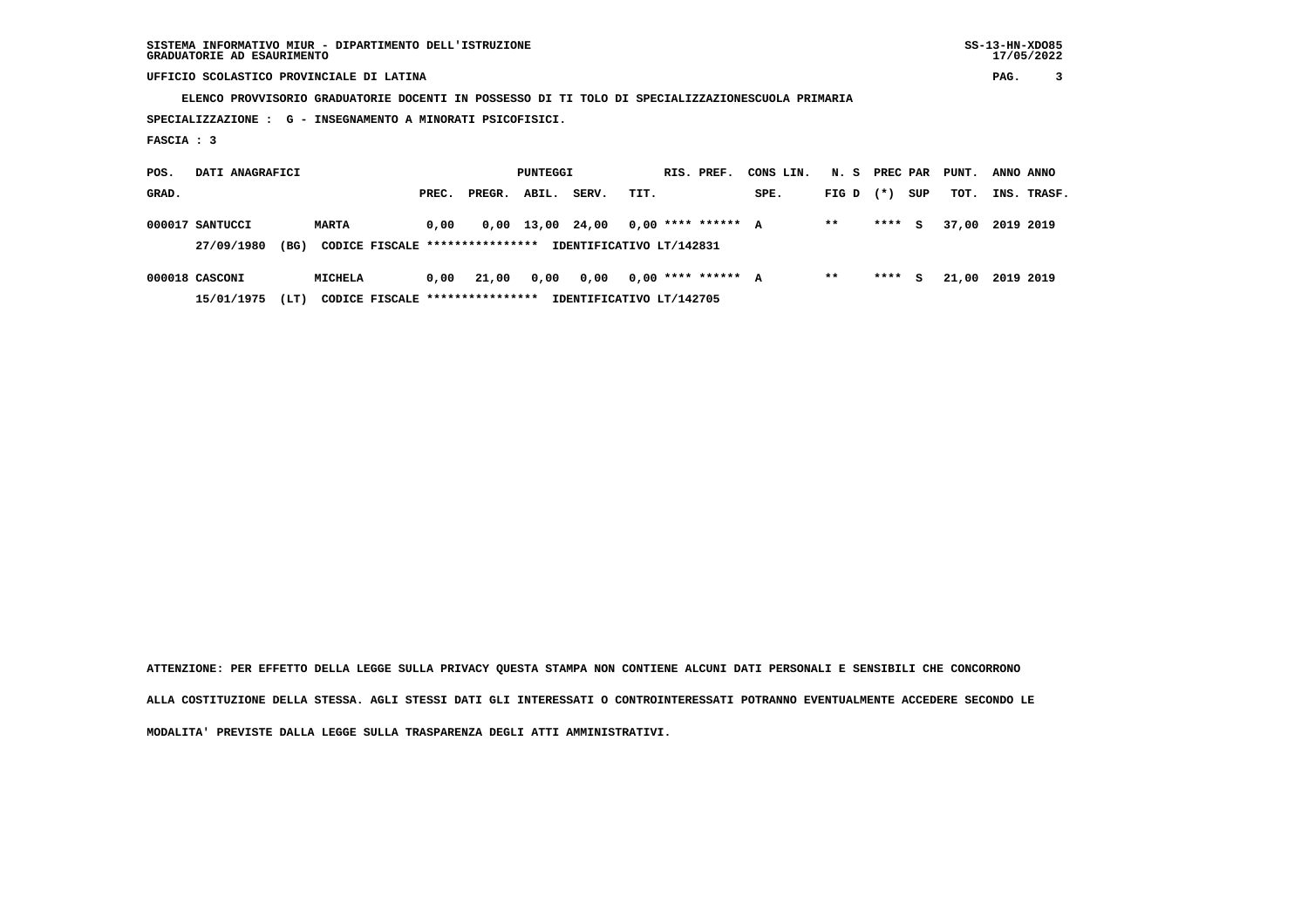**ELENCO PROVVISORIO GRADUATORIE DOCENTI IN POSSESSO DI TI TOLO DI SPECIALIZZAZIONESCUOLA PRIMARIA**

 **SPECIALIZZAZIONE : G - INSEGNAMENTO A MINORATI PSICOFISICI.**

 **FASCIA : 3**

| POS.  | DATI ANAGRAFICI    |                                 |       |        | PUNTEGGI |                  | RIS. PREF.               | CONS LIN. |             |         |     | N. S PREC PAR PUNT. ANNO ANNO |           |             |
|-------|--------------------|---------------------------------|-------|--------|----------|------------------|--------------------------|-----------|-------------|---------|-----|-------------------------------|-----------|-------------|
| GRAD. |                    |                                 | PREC. | PREGR. | ABIL.    | SERV.            | TIT.                     | SPE.      | $FIG D (*)$ |         | SUP | тот.                          |           | INS. TRASF. |
|       | 000017 SANTUCCI    | <b>MARTA</b>                    | 0.00  |        |          | 0,00 13,00 24,00 | $0.00$ **** ****** A     |           | $* *$       | $***$ S |     | 37.00                         | 2019 2019 |             |
|       | (BG)<br>27/09/1980 | CODICE FISCALE **************** |       |        |          |                  | IDENTIFICATIVO LT/142831 |           |             |         |     |                               |           |             |
|       |                    |                                 |       |        |          |                  |                          |           |             |         |     |                               |           |             |

 **000018 CASCONI MICHELA 0,00 21,00 0,00 0,00 0,00 \*\*\*\* \*\*\*\*\*\* A \*\* \*\*\*\* S 21,00 2019 2019 15/01/1975 (LT) CODICE FISCALE \*\*\*\*\*\*\*\*\*\*\*\*\*\*\*\* IDENTIFICATIVO LT/142705**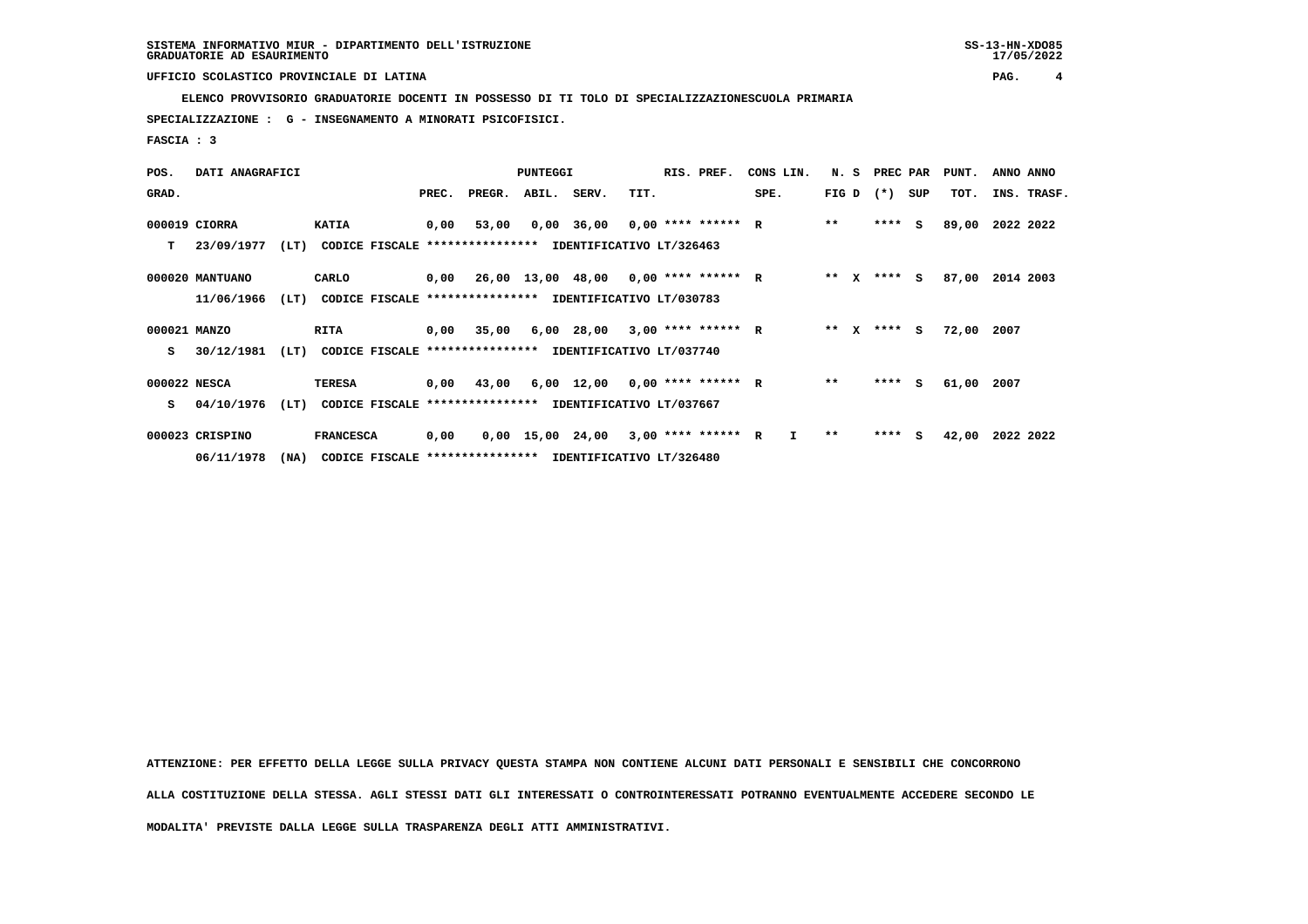**ELENCO PROVVISORIO GRADUATORIE DOCENTI IN POSSESSO DI TI TOLO DI SPECIALIZZAZIONESCUOLA PRIMARIA**

 **SPECIALIZZAZIONE : G - INSEGNAMENTO A MINORATI PSICOFISICI.**

 **FASCIA : 3**

| POS.         | DATI ANAGRAFICI |      |                                                          |       |                                             | <b>PUNTEGGI</b> |                                       |      | RIS. PREF. | CONS LIN.    |              | N. S PREC PAR |     | PUNT. | ANNO ANNO   |
|--------------|-----------------|------|----------------------------------------------------------|-------|---------------------------------------------|-----------------|---------------------------------------|------|------------|--------------|--------------|---------------|-----|-------|-------------|
| GRAD.        |                 |      |                                                          | PREC. | PREGR.                                      | ABIL.           | SERV.                                 | TIT. |            | SPE.         | FIG D        | $(*)$         | SUP | TOT.  | INS. TRASF. |
|              | 000019 CIORRA   |      | <b>KATIA</b>                                             | 0,00  | 53,00                                       |                 | $0,00$ 36,00 0,00 **** ****** R       |      |            |              | $* *$        | $***$ S       |     | 89,00 | 2022 2022   |
| т            | 23/09/1977      | (LT) | CODICE FISCALE **************** IDENTIFICATIVO LT/326463 |       |                                             |                 |                                       |      |            |              |              |               |     |       |             |
|              | 000020 MANTUANO |      | CARLO                                                    |       | $0,00$ 26,00 13,00 48,00 0,00 **** ****** R |                 |                                       |      |            |              | $***$ X      | **** S        |     | 87,00 | 2014 2003   |
|              | 11/06/1966      | (LT) | CODICE FISCALE **************** IDENTIFICATIVO LT/030783 |       |                                             |                 |                                       |      |            |              |              |               |     |       |             |
| 000021 MANZO |                 |      | <b>RITA</b>                                              |       | 0,00 35,00                                  |                 | 6,00 28,00 3,00 **** ****** R         |      |            |              | ** X         | **** S        |     | 72,00 | 2007        |
| s            | 30/12/1981      | (LT) | CODICE FISCALE **************** IDENTIFICATIVO LT/037740 |       |                                             |                 |                                       |      |            |              |              |               |     |       |             |
| 000022 NESCA |                 |      | TERESA                                                   |       | $0,00$ 43,00                                |                 | $6,00$ 12,00 0,00 **** ****** R       |      |            |              | $* *$        | ****          | - S | 61,00 | 2007        |
| s            | 04/10/1976      | (LT) | CODICE FISCALE **************** IDENTIFICATIVO LT/037667 |       |                                             |                 |                                       |      |            |              |              |               |     |       |             |
|              | 000023 CRISPINO |      | <b>FRANCESCA</b>                                         | 0,00  |                                             |                 | $0,00$ 15,00 24,00 3,00 **** ****** R |      |            | $\mathbf{I}$ | $\star\star$ | $***$ S       |     | 42,00 | 2022 2022   |
|              | 06/11/1978      | (MA) | CODICE FISCALE **************** IDENTIFICATIVO LT/326480 |       |                                             |                 |                                       |      |            |              |              |               |     |       |             |

 **ATTENZIONE: PER EFFETTO DELLA LEGGE SULLA PRIVACY QUESTA STAMPA NON CONTIENE ALCUNI DATI PERSONALI E SENSIBILI CHE CONCORRONO ALLA COSTITUZIONE DELLA STESSA. AGLI STESSI DATI GLI INTERESSATI O CONTROINTERESSATI POTRANNO EVENTUALMENTE ACCEDERE SECONDO LE**

 **MODALITA' PREVISTE DALLA LEGGE SULLA TRASPARENZA DEGLI ATTI AMMINISTRATIVI.**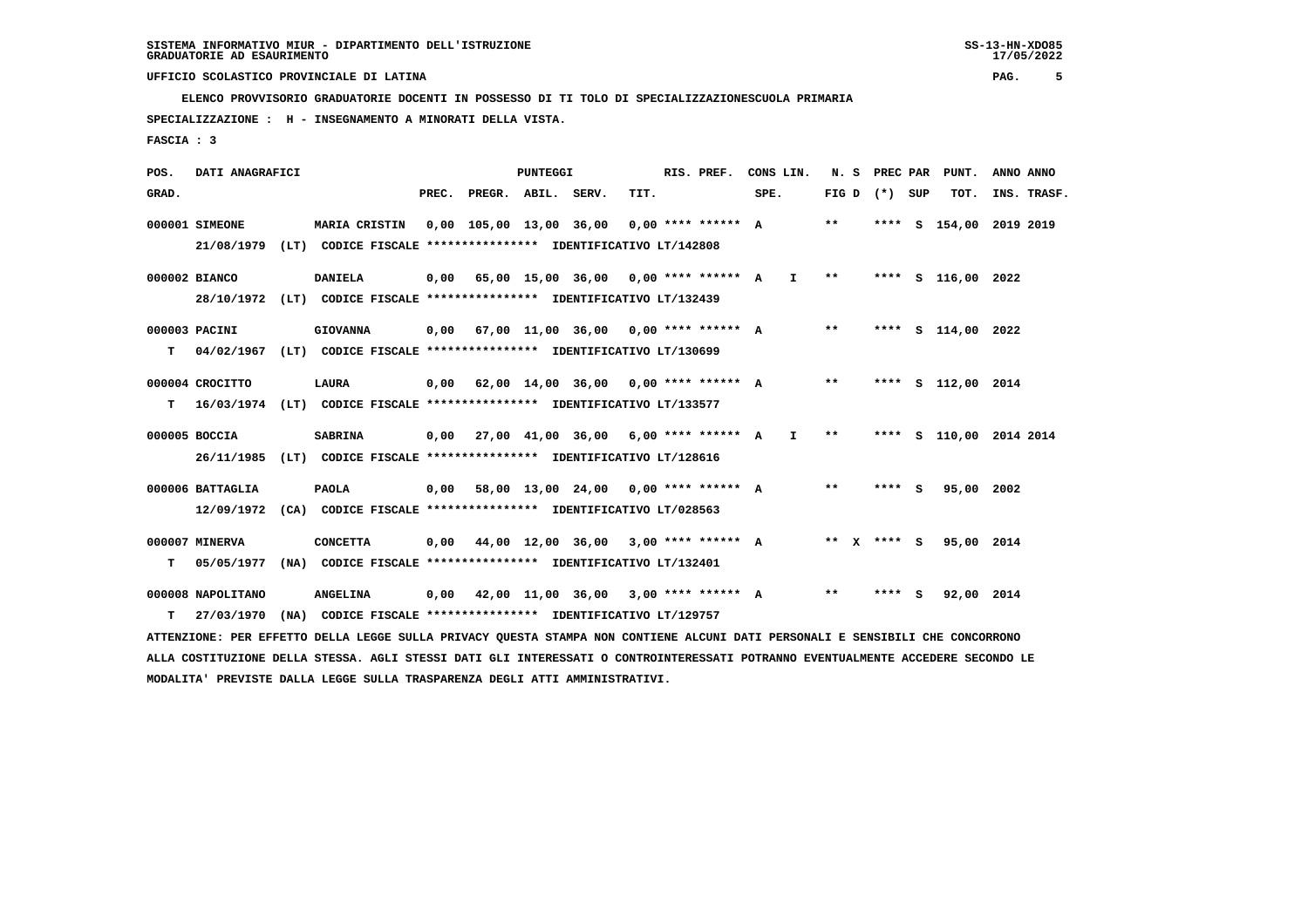**ELENCO PROVVISORIO GRADUATORIE DOCENTI IN POSSESSO DI TI TOLO DI SPECIALIZZAZIONESCUOLA PRIMARIA**

 **SPECIALIZZAZIONE : H - INSEGNAMENTO A MINORATI DELLA VISTA.**

 **FASCIA : 3**

| POS.  | DATI ANAGRAFICI   |                                                                                                                               |                          | PUNTEGGI |                                                  |      | RIS. PREF. |      | CONS LIN.    |       |                 | N. S PREC PAR PUNT.     | ANNO ANNO   |
|-------|-------------------|-------------------------------------------------------------------------------------------------------------------------------|--------------------------|----------|--------------------------------------------------|------|------------|------|--------------|-------|-----------------|-------------------------|-------------|
| GRAD. |                   |                                                                                                                               | PREC. PREGR. ABIL. SERV. |          |                                                  | TIT. |            | SPE. |              |       | FIG D $(*)$ SUP | TOT.                    | INS. TRASF. |
|       | 000001 SIMEONE    | MARIA CRISTIN 0,00 105,00 13,00 36,00 0,00 **** ****** A                                                                      |                          |          |                                                  |      |            |      |              | $***$ |                 | **** S 154,00 2019 2019 |             |
|       |                   | 21/08/1979 (LT) CODICE FISCALE **************** IDENTIFICATIVO LT/142808                                                      |                          |          |                                                  |      |            |      |              |       |                 |                         |             |
|       | 000002 BIANCO     | <b>DANIELA</b>                                                                                                                |                          |          | $0,00$ 65,00 15,00 36,00 0,00 **** ****** A I ** |      |            |      |              |       |                 | **** S 116,00 2022      |             |
|       |                   | 28/10/1972 (LT) CODICE FISCALE **************** IDENTIFICATIVO LT/132439                                                      |                          |          |                                                  |      |            |      |              |       |                 |                         |             |
|       | 000003 PACINI     | <b>GIOVANNA</b>                                                                                                               |                          |          | $0,00$ 67,00 11,00 36,00 0,00 **** ****** A      |      |            |      |              | $***$ |                 | **** S 114,00 2022      |             |
| T.    |                   | 04/02/1967 (LT) CODICE FISCALE **************** IDENTIFICATIVO LT/130699                                                      |                          |          |                                                  |      |            |      |              |       |                 |                         |             |
|       | 000004 CROCITTO   | LAURA                                                                                                                         |                          |          | $0,00$ 62,00 14,00 36,00 0,00 **** ****** A      |      |            |      |              | $**$  |                 | **** S 112,00 2014      |             |
|       |                   | T 16/03/1974 (LT) CODICE FISCALE **************** IDENTIFICATIVO LT/133577                                                    |                          |          |                                                  |      |            |      |              |       |                 |                         |             |
|       |                   |                                                                                                                               |                          |          |                                                  |      |            |      |              |       |                 |                         |             |
|       | 000005 BOCCIA     | <b>SABRINA</b>                                                                                                                |                          |          | $0,00$ 27,00 41,00 36,00 6,00 **** ****** A      |      |            |      | $\mathbf{I}$ | $***$ |                 | **** S 110,00 2014 2014 |             |
|       | 26/11/1985        | (LT) CODICE FISCALE **************** IDENTIFICATIVO LT/128616                                                                 |                          |          |                                                  |      |            |      |              |       |                 |                         |             |
|       | 000006 BATTAGLIA  | <b>PAOLA</b>                                                                                                                  |                          |          | $0,00$ 58,00 13,00 24,00 0,00 **** ****** A      |      |            |      |              | $***$ | $***$ S         | 95,00 2002              |             |
|       |                   | 12/09/1972 (CA) CODICE FISCALE **************** IDENTIFICATIVO LT/028563                                                      |                          |          |                                                  |      |            |      |              |       |                 |                         |             |
|       | 000007 MINERVA    | <b>CONCETTA</b>                                                                                                               |                          |          | $0.00$ 44.00 12.00 36.00 3.00 **** ****** A      |      |            |      |              |       |                 | ** X **** S 95,00 2014  |             |
| т     | 05/05/1977        | (NA) CODICE FISCALE **************** IDENTIFICATIVO LT/132401                                                                 |                          |          |                                                  |      |            |      |              |       |                 |                         |             |
|       |                   |                                                                                                                               |                          |          |                                                  |      |            |      |              |       |                 |                         |             |
|       | 000008 NAPOLITANO | <b>ANGELINA</b>                                                                                                               |                          |          | $0,00$ 42,00 11,00 36,00 3,00 **** ****** A      |      |            |      |              | $***$ | **** S          | 92,00 2014              |             |
| т     | 27/03/1970        | (NA) CODICE FISCALE **************** IDENTIFICATIVO LT/129757                                                                 |                          |          |                                                  |      |            |      |              |       |                 |                         |             |
|       |                   | ATTENZIONE: PER EFFETTO DELLA LEGGE SULLA PRIVACY QUESTA STAMPA NON CONTIENE ALCUNI DATI PERSONALI E SENSIBILI CHE CONCORRONO |                          |          |                                                  |      |            |      |              |       |                 |                         |             |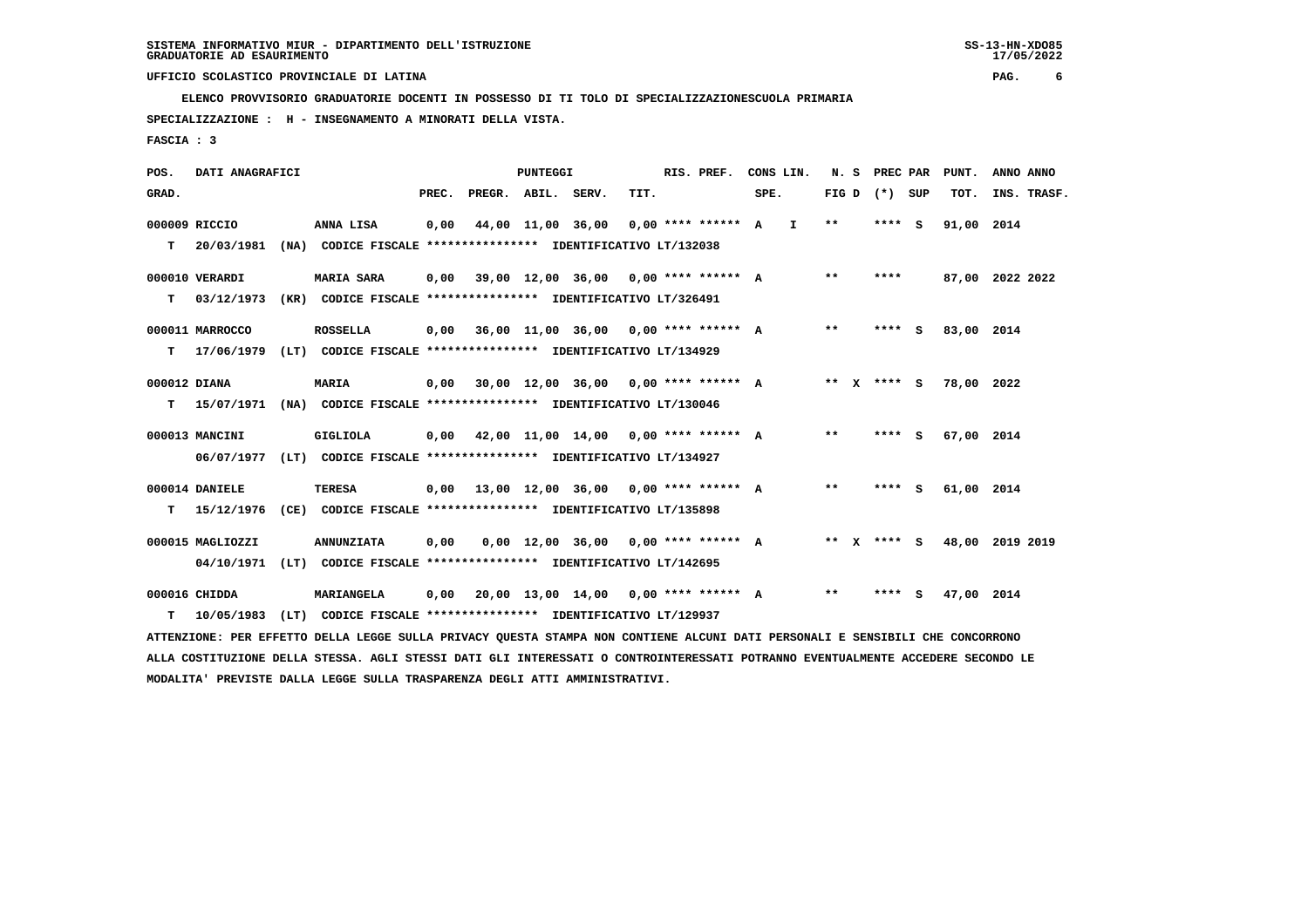**ELENCO PROVVISORIO GRADUATORIE DOCENTI IN POSSESSO DI TI TOLO DI SPECIALIZZAZIONESCUOLA PRIMARIA**

 **SPECIALIZZAZIONE : H - INSEGNAMENTO A MINORATI DELLA VISTA.**

 **FASCIA : 3**

| POS.         | DATI ANAGRAFICI  |      |                                                                                                                               |       |                    | PUNTEGGI          |                                        |      | RIS. PREF.             |      | CONS LIN. | N. S  | PREC PAR          | PUNT.           | ANNO ANNO |             |
|--------------|------------------|------|-------------------------------------------------------------------------------------------------------------------------------|-------|--------------------|-------------------|----------------------------------------|------|------------------------|------|-----------|-------|-------------------|-----------------|-----------|-------------|
| GRAD.        |                  |      |                                                                                                                               | PREC. | PREGR. ABIL. SERV. |                   |                                        | TIT. |                        | SPE. |           |       | FIG $D$ $(*)$ SUP | TOT.            |           | INS. TRASF. |
|              | 000009 RICCIO    |      | ANNA LISA                                                                                                                     | 0,00  |                    | 44,00 11,00 36,00 |                                        |      | $0.00$ **** ****** A I |      |           | $* *$ | **** S            | 91,00 2014      |           |             |
| т            | 20/03/1981       |      | (NA) CODICE FISCALE **************** IDENTIFICATIVO LT/132038                                                                 |       |                    |                   |                                        |      |                        |      |           |       |                   |                 |           |             |
|              | 000010 VERARDI   |      | <b>MARIA SARA</b>                                                                                                             | 0,00  |                    |                   | 39,00 12,00 36,00                      |      | $0.00$ **** ****** A   |      |           | $***$ | ****              | 87,00 2022 2022 |           |             |
| т            | 03/12/1973       |      | (KR) CODICE FISCALE **************** IDENTIFICATIVO LT/326491                                                                 |       |                    |                   |                                        |      |                        |      |           |       |                   |                 |           |             |
|              | 000011 MARROCCO  |      | <b>ROSSELLA</b>                                                                                                               | 0,00  |                    |                   | 36,00 11,00 36,00 0,00 **** ****** A   |      |                        |      |           | $***$ | **** S            | 83,00 2014      |           |             |
| т            | 17/06/1979       |      | (LT) CODICE FISCALE **************** IDENTIFICATIVO LT/134929                                                                 |       |                    |                   |                                        |      |                        |      |           |       |                   |                 |           |             |
| 000012 DIANA |                  |      | <b>MARIA</b>                                                                                                                  | 0,00  |                    |                   | 30,00 12,00 36,00 0,00 **** ****** A   |      |                        |      |           |       | ** x **** S       | 78,00 2022      |           |             |
| т            | 15/07/1971       |      | (NA) CODICE FISCALE **************** IDENTIFICATIVO LT/130046                                                                 |       |                    |                   |                                        |      |                        |      |           |       |                   |                 |           |             |
|              | 000013 MANCINI   |      | <b>GIGLIOLA</b>                                                                                                               | 0,00  |                    |                   | 42,00 11,00 14,00 0,00 **** ****** A   |      |                        |      |           | $* *$ | **** S            | 67,00 2014      |           |             |
|              | 06/07/1977       |      | (LT) CODICE FISCALE **************** IDENTIFICATIVO LT/134927                                                                 |       |                    |                   |                                        |      |                        |      |           |       |                   |                 |           |             |
|              | 000014 DANIELE   |      | <b>TERESA</b>                                                                                                                 | 0.00  |                    |                   | 13,00 12,00 36,00 0,00 **** ****** A   |      |                        |      |           | $* *$ | **** S            | 61,00 2014      |           |             |
| т            | 15/12/1976       |      | (CE) CODICE FISCALE **************** IDENTIFICATIVO LT/135898                                                                 |       |                    |                   |                                        |      |                        |      |           |       |                   |                 |           |             |
|              | 000015 MAGLIOZZI |      | <b>ANNUNZIATA</b>                                                                                                             | 0,00  |                    |                   | $0,00$ 12,00 36,00 0,00 **** ****** A  |      |                        |      |           |       | ** x **** s       | 48,00 2019 2019 |           |             |
|              |                  |      | 04/10/1971 (LT) CODICE FISCALE **************** IDENTIFICATIVO LT/142695                                                      |       |                    |                   |                                        |      |                        |      |           |       |                   |                 |           |             |
|              | 000016 CHIDDA    |      | MARIANGELA                                                                                                                    | 0,00  |                    |                   | $20,00$ 13,00 14,00 0,00 **** ****** A |      |                        |      |           | $* *$ | **** S            | 47,00 2014      |           |             |
| т            | 10/05/1983       | (LT) | CODICE FISCALE **************** IDENTIFICATIVO LT/129937                                                                      |       |                    |                   |                                        |      |                        |      |           |       |                   |                 |           |             |
|              |                  |      | ATTENZIONE: PER EFFETTO DELLA LEGGE SULLA PRIVACY QUESTA STAMPA NON CONTIENE ALCUNI DATI PERSONALI E SENSIBILI CHE CONCORRONO |       |                    |                   |                                        |      |                        |      |           |       |                   |                 |           |             |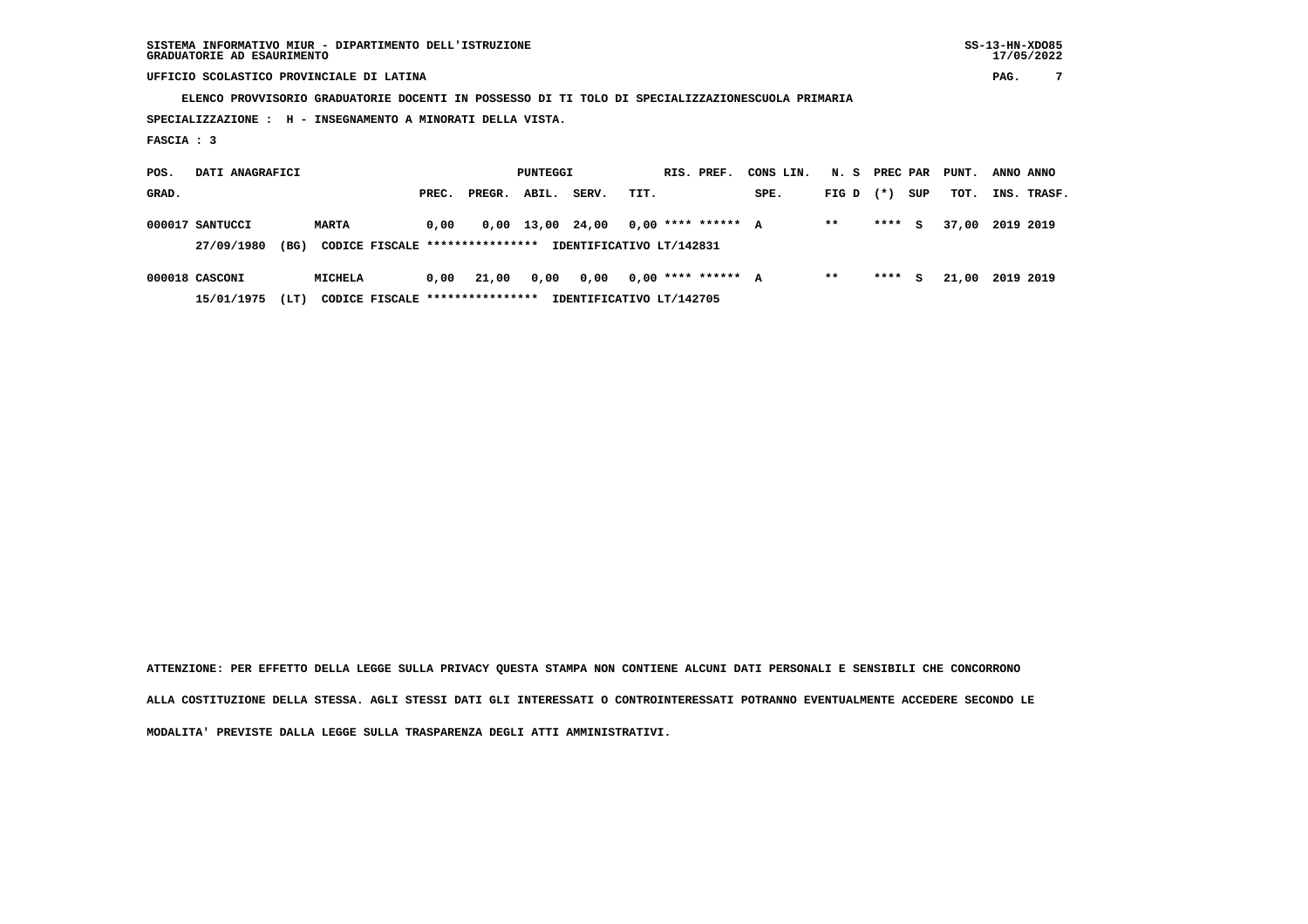**ELENCO PROVVISORIO GRADUATORIE DOCENTI IN POSSESSO DI TI TOLO DI SPECIALIZZAZIONESCUOLA PRIMARIA**

 **SPECIALIZZAZIONE : H - INSEGNAMENTO A MINORATI DELLA VISTA.**

 **FASCIA : 3**

| POS.  | DATI ANAGRAFICI    |                                 |       |        | PUNTEGGI |                  | RIS. PREF.               | CONS LIN. |             |         |     | N. S PREC PAR PUNT. ANNO ANNO |           |             |
|-------|--------------------|---------------------------------|-------|--------|----------|------------------|--------------------------|-----------|-------------|---------|-----|-------------------------------|-----------|-------------|
| GRAD. |                    |                                 | PREC. | PREGR. | ABIL.    | SERV.            | TIT.                     | SPE.      | $FIG D (*)$ |         | SUP | тот.                          |           | INS. TRASF. |
|       | 000017 SANTUCCI    | <b>MARTA</b>                    | 0.00  |        |          | 0,00 13,00 24,00 | $0.00$ **** ****** A     |           | $* *$       | $***$ S |     | 37.00                         | 2019 2019 |             |
|       | (BG)<br>27/09/1980 | CODICE FISCALE **************** |       |        |          |                  | IDENTIFICATIVO LT/142831 |           |             |         |     |                               |           |             |
|       |                    |                                 |       |        |          |                  |                          |           |             |         |     |                               |           |             |

 **000018 CASCONI MICHELA 0,00 21,00 0,00 0,00 0,00 \*\*\*\* \*\*\*\*\*\* A \*\* \*\*\*\* S 21,00 2019 2019 15/01/1975 (LT) CODICE FISCALE \*\*\*\*\*\*\*\*\*\*\*\*\*\*\*\* IDENTIFICATIVO LT/142705**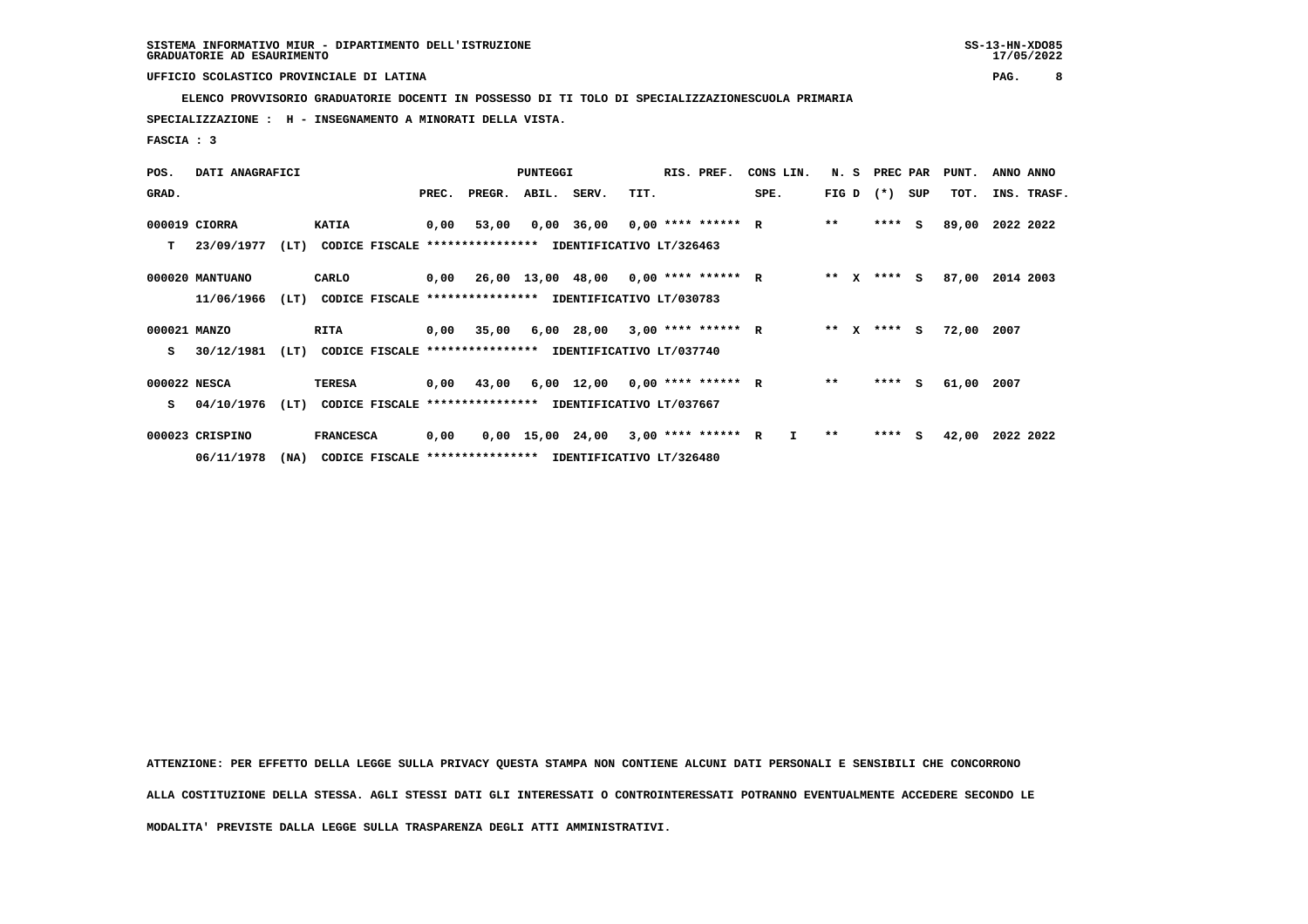**ELENCO PROVVISORIO GRADUATORIE DOCENTI IN POSSESSO DI TI TOLO DI SPECIALIZZAZIONESCUOLA PRIMARIA**

 **SPECIALIZZAZIONE : H - INSEGNAMENTO A MINORATI DELLA VISTA.**

 **FASCIA : 3**

| POS.         | DATI ANAGRAFICI |      |                                                          |       |                                             | <b>PUNTEGGI</b> |                                       |      | RIS. PREF. | CONS LIN.    |        | N. S PREC PAR |     | PUNT. | ANNO ANNO   |
|--------------|-----------------|------|----------------------------------------------------------|-------|---------------------------------------------|-----------------|---------------------------------------|------|------------|--------------|--------|---------------|-----|-------|-------------|
| GRAD.        |                 |      |                                                          | PREC. | PREGR.                                      | ABIL.           | SERV.                                 | TIT. |            | SPE.         | FIG D  | $(* )$        | SUP | TOT.  | INS. TRASF. |
|              | 000019 CIORRA   |      | <b>KATIA</b>                                             | 0,00  | 53,00                                       |                 | $0,00$ 36,00 0,00 **** ****** R       |      |            |              | $***$  | $***$ S       |     | 89,00 | 2022 2022   |
| т            | 23/09/1977      | (LT) | CODICE FISCALE **************** IDENTIFICATIVO LT/326463 |       |                                             |                 |                                       |      |            |              |        |               |     |       |             |
|              | 000020 MANTUANO |      | CARLO                                                    |       | $0,00$ 26,00 13,00 48,00 0,00 **** ****** R |                 |                                       |      |            |              | ** X   | **** S        |     | 87,00 | 2014 2003   |
|              | 11/06/1966      | (LT) | CODICE FISCALE **************** IDENTIFICATIVO LT/030783 |       |                                             |                 |                                       |      |            |              |        |               |     |       |             |
| 000021 MANZO |                 |      | RITA                                                     |       | 0,00 35,00                                  |                 | 6,00 28,00 3,00 **** ****** R         |      |            |              | ** $X$ | **** S        |     | 72,00 | 2007        |
| s            | 30/12/1981      | (LT) | CODICE FISCALE **************** IDENTIFICATIVO LT/037740 |       |                                             |                 |                                       |      |            |              |        |               |     |       |             |
| 000022 NESCA |                 |      | TERESA                                                   |       | $0,00$ 43,00                                |                 | $6,00$ 12,00 0,00 **** ****** R       |      |            |              | $* *$  | $***$ S       |     | 61,00 | 2007        |
| s            | 04/10/1976      | (LT) | CODICE FISCALE **************** IDENTIFICATIVO LT/037667 |       |                                             |                 |                                       |      |            |              |        |               |     |       |             |
|              | 000023 CRISPINO |      | <b>FRANCESCA</b>                                         | 0,00  |                                             |                 | $0,00$ 15,00 24,00 3,00 **** ****** R |      |            | $\mathbf{I}$ | $***$  | **** S        |     | 42,00 | 2022 2022   |
|              | 06/11/1978      | (NA) | CODICE FISCALE **************** IDENTIFICATIVO LT/326480 |       |                                             |                 |                                       |      |            |              |        |               |     |       |             |

 **ATTENZIONE: PER EFFETTO DELLA LEGGE SULLA PRIVACY QUESTA STAMPA NON CONTIENE ALCUNI DATI PERSONALI E SENSIBILI CHE CONCORRONO ALLA COSTITUZIONE DELLA STESSA. AGLI STESSI DATI GLI INTERESSATI O CONTROINTERESSATI POTRANNO EVENTUALMENTE ACCEDERE SECONDO LE**

 **MODALITA' PREVISTE DALLA LEGGE SULLA TRASPARENZA DEGLI ATTI AMMINISTRATIVI.**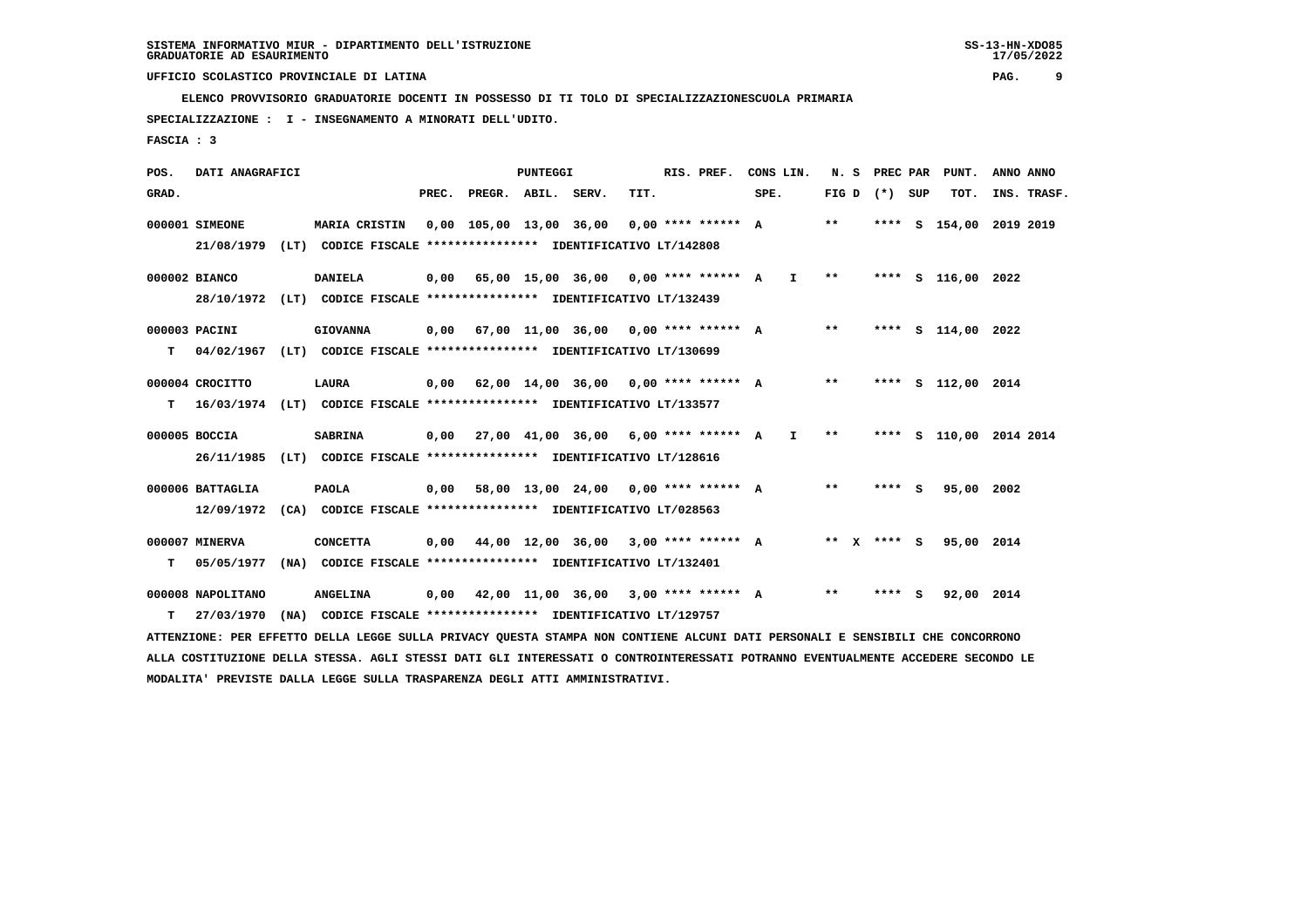**ELENCO PROVVISORIO GRADUATORIE DOCENTI IN POSSESSO DI TI TOLO DI SPECIALIZZAZIONESCUOLA PRIMARIA**

 **SPECIALIZZAZIONE : I - INSEGNAMENTO A MINORATI DELL'UDITO.**

 **FASCIA : 3**

| POS.  | DATI ANAGRAFICI   |                                                                                                                               |                          | <b>PUNTEGGI</b> |                                             |      | RIS. PREF. |      | CONS LIN.     | N.S   |                 | PREC PAR PUNT.          |           | ANNO ANNO   |
|-------|-------------------|-------------------------------------------------------------------------------------------------------------------------------|--------------------------|-----------------|---------------------------------------------|------|------------|------|---------------|-------|-----------------|-------------------------|-----------|-------------|
| GRAD. |                   |                                                                                                                               | PREC. PREGR. ABIL. SERV. |                 |                                             | TIT. |            | SPE. |               |       | FIG D $(*)$ SUP | TOT.                    |           | INS. TRASF. |
|       | 000001 SIMEONE    | <b>MARIA CRISTIN</b>                                                                                                          |                          |                 | 0,00 105,00 13,00 36,00 0,00 **** ****** A  |      |            |      |               | $* *$ |                 | **** S 154,00           | 2019 2019 |             |
|       | 21/08/1979        | (LT) CODICE FISCALE **************** IDENTIFICATIVO LT/142808                                                                 |                          |                 |                                             |      |            |      |               |       |                 |                         |           |             |
|       | 000002 BIANCO     | <b>DANIELA</b>                                                                                                                |                          |                 | $0,00$ 65,00 15,00 36,00 0,00 **** ****** A |      |            |      | $\mathbf{I}$  | $***$ |                 | **** S 116,00 2022      |           |             |
|       |                   | 28/10/1972 (LT) CODICE FISCALE **************** IDENTIFICATIVO LT/132439                                                      |                          |                 |                                             |      |            |      |               |       |                 |                         |           |             |
|       | 000003 PACINI     | <b>GIOVANNA</b>                                                                                                               |                          |                 | 0,00 67,00 11,00 36,00 0,00 **** ****** A   |      |            |      |               | $**$  |                 | **** S 114,00 2022      |           |             |
| т     | 04/02/1967        | (LT) CODICE FISCALE **************** IDENTIFICATIVO LT/130699                                                                 |                          |                 |                                             |      |            |      |               |       |                 |                         |           |             |
|       |                   |                                                                                                                               |                          |                 |                                             |      |            |      |               |       |                 |                         |           |             |
|       | 000004 CROCITTO   | LAURA                                                                                                                         |                          |                 | 0,00 62,00 14,00 36,00 0,00 **** ****** A   |      |            |      |               | $***$ |                 | **** S 112,00 2014      |           |             |
| т     |                   | 16/03/1974 (LT) CODICE FISCALE *************** IDENTIFICATIVO LT/133577                                                       |                          |                 |                                             |      |            |      |               |       |                 |                         |           |             |
|       | 000005 BOCCIA     | <b>SABRINA</b>                                                                                                                |                          |                 | $0,00$ 27,00 41,00 36,00 6,00 **** ****** A |      |            |      | $\mathbf{I}$  | $* *$ |                 | **** S 110,00 2014 2014 |           |             |
|       | 26/11/1985        | (LT) CODICE FISCALE **************** IDENTIFICATIVO LT/128616                                                                 |                          |                 |                                             |      |            |      |               |       |                 |                         |           |             |
|       | 000006 BATTAGLIA  | <b>PAOLA</b>                                                                                                                  |                          |                 | $0,00$ 58,00 13,00 24,00 0,00 **** ****** A |      |            |      |               | $**$  | **** $S$        | 95,00 2002              |           |             |
|       |                   | 12/09/1972 (CA) CODICE FISCALE *************** IDENTIFICATIVO LT/028563                                                       |                          |                 |                                             |      |            |      |               |       |                 |                         |           |             |
|       |                   |                                                                                                                               |                          |                 |                                             |      |            |      |               |       |                 |                         |           |             |
|       | 000007 MINERVA    | <b>CONCETTA</b>                                                                                                               |                          |                 | $0,00$ 44,00 12,00 36,00 3,00 **** ****** A |      |            |      | ** $X$ **** S |       |                 | 95,00 2014              |           |             |
| т     | 05/05/1977        | (NA) CODICE FISCALE **************** IDENTIFICATIVO LT/132401                                                                 |                          |                 |                                             |      |            |      |               |       |                 |                         |           |             |
|       | 000008 NAPOLITANO | <b>ANGELINA</b>                                                                                                               |                          |                 | $0,00$ 42,00 11,00 36,00 3,00 **** ****** A |      |            |      |               | $* *$ | **** S          | 92,00 2014              |           |             |
| т     | 27/03/1970        | (NA) CODICE FISCALE **************** IDENTIFICATIVO LT/129757                                                                 |                          |                 |                                             |      |            |      |               |       |                 |                         |           |             |
|       |                   | ATTENZIONE: PER EFFETTO DELLA LEGGE SULLA PRIVACY QUESTA STAMPA NON CONTIENE ALCUNI DATI PERSONALI E SENSIBILI CHE CONCORRONO |                          |                 |                                             |      |            |      |               |       |                 |                         |           |             |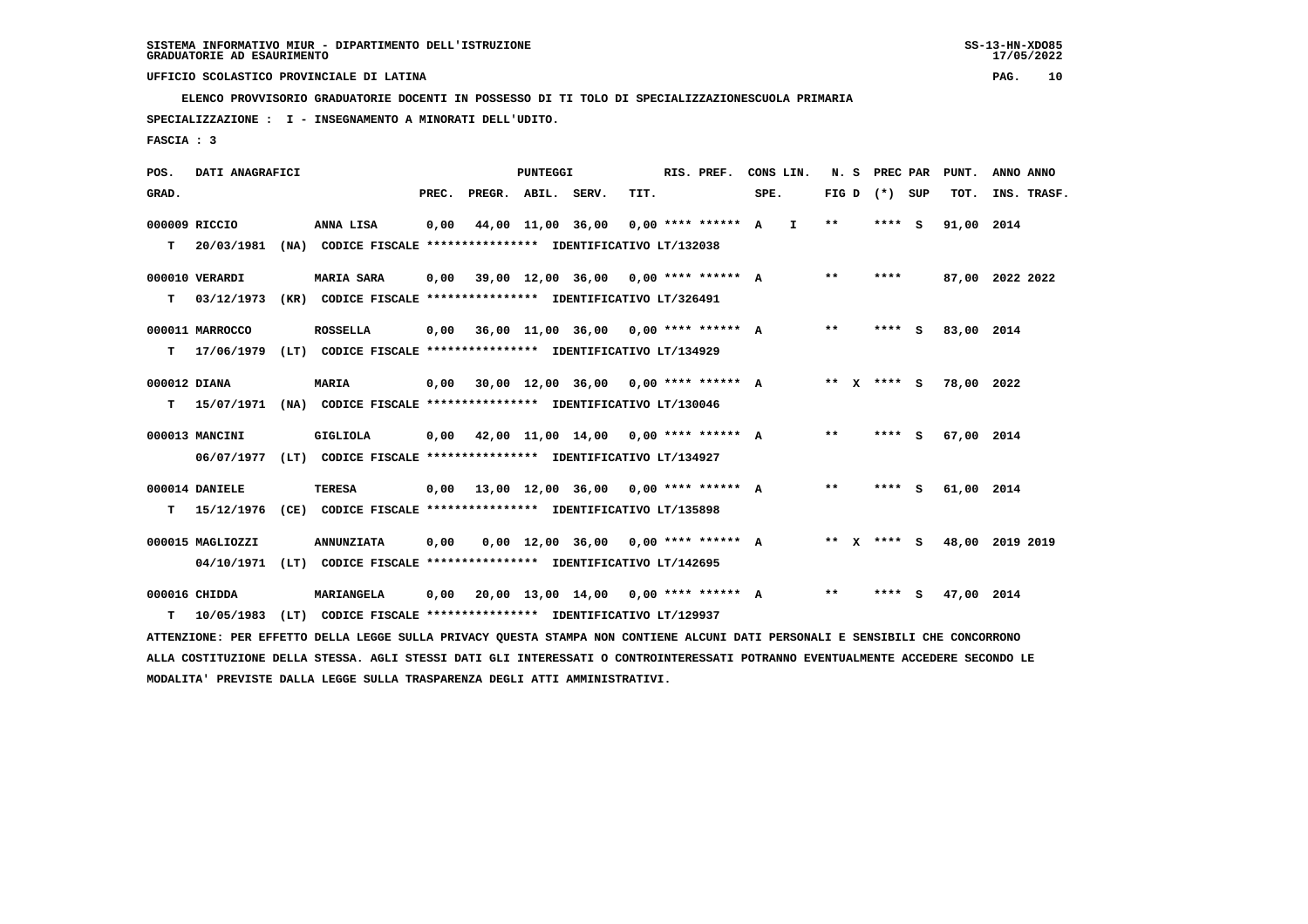**ELENCO PROVVISORIO GRADUATORIE DOCENTI IN POSSESSO DI TI TOLO DI SPECIALIZZAZIONESCUOLA PRIMARIA**

 **SPECIALIZZAZIONE : I - INSEGNAMENTO A MINORATI DELL'UDITO.**

 **FASCIA : 3**

| POS.         | DATI ANAGRAFICI  |      |                                                                                                                               |       |                    | PUNTEGGI          |                                        |      | RIS. PREF.          |      | CONS LIN. | N.S          | PREC PAR          | PUNT.                  | ANNO ANNO |             |
|--------------|------------------|------|-------------------------------------------------------------------------------------------------------------------------------|-------|--------------------|-------------------|----------------------------------------|------|---------------------|------|-----------|--------------|-------------------|------------------------|-----------|-------------|
| GRAD.        |                  |      |                                                                                                                               | PREC. | PREGR. ABIL. SERV. |                   |                                        | TIT. |                     | SPE. |           |              | FIG $D$ $(*)$ SUP | TOT.                   |           | INS. TRASF. |
|              | 000009 RICCIO    |      | ANNA LISA                                                                                                                     | 0,00  |                    | 44,00 11,00 36,00 |                                        |      | $0.00********* A I$ |      |           | $* *$        | **** S            | 91,00 2014             |           |             |
| T.           | 20/03/1981       |      | (NA) CODICE FISCALE **************** IDENTIFICATIVO LT/132038                                                                 |       |                    |                   |                                        |      |                     |      |           |              |                   |                        |           |             |
|              | 000010 VERARDI   |      | <b>MARIA SARA</b>                                                                                                             | 0,00  |                    |                   | 39,00 12,00 36,00 0,00 **** ****** A   |      |                     |      |           | $\star\star$ | ****              | 87,00 2022 2022        |           |             |
| т            | 03/12/1973       |      | (KR) CODICE FISCALE **************** IDENTIFICATIVO LT/326491                                                                 |       |                    |                   |                                        |      |                     |      |           |              |                   |                        |           |             |
|              | 000011 MARROCCO  |      | <b>ROSSELLA</b>                                                                                                               | 0.00  |                    |                   | 36,00 11,00 36,00 0,00 **** ****** A   |      |                     |      |           | $* *$        | **** S            | 83,00 2014             |           |             |
| T.           | 17/06/1979       |      | (LT) CODICE FISCALE **************** IDENTIFICATIVO LT/134929                                                                 |       |                    |                   |                                        |      |                     |      |           |              |                   |                        |           |             |
| 000012 DIANA |                  |      | <b>MARIA</b>                                                                                                                  | 0.00  |                    |                   | $30,00$ 12,00 36,00 0,00 **** ****** A |      |                     |      |           |              | ** x **** S       | 78,00 2022             |           |             |
| т            | 15/07/1971       |      | (NA) CODICE FISCALE **************** IDENTIFICATIVO LT/130046                                                                 |       |                    |                   |                                        |      |                     |      |           |              |                   |                        |           |             |
|              | 000013 MANCINI   |      | <b>GIGLIOLA</b>                                                                                                               | 0,00  |                    |                   | 42,00 11,00 14,00 0,00 **** ****** A   |      |                     |      |           | $***$        | **** S            | 67,00 2014             |           |             |
|              | 06/07/1977       |      | (LT) CODICE FISCALE **************** IDENTIFICATIVO LT/134927                                                                 |       |                    |                   |                                        |      |                     |      |           |              |                   |                        |           |             |
|              | 000014 DANIELE   |      | <b>TERESA</b>                                                                                                                 | 0,00  |                    |                   | 13,00 12,00 36,00 0,00 **** ****** A   |      |                     |      |           | $***$        | **** S            | 61,00 2014             |           |             |
| т            | 15/12/1976       |      | (CE) CODICE FISCALE **************** IDENTIFICATIVO LT/135898                                                                 |       |                    |                   |                                        |      |                     |      |           |              |                   |                        |           |             |
|              | 000015 MAGLIOZZI |      | <b>ANNUNZIATA</b>                                                                                                             | 0,00  |                    |                   | $0.00$ 12.00 36.00 0.00 **** ****** A  |      |                     |      |           | ** $X$       |                   | **** S 48,00 2019 2019 |           |             |
|              |                  |      | 04/10/1971 (LT) CODICE FISCALE *************** IDENTIFICATIVO LT/142695                                                       |       |                    |                   |                                        |      |                     |      |           |              |                   |                        |           |             |
|              | 000016 CHIDDA    |      | MARIANGELA                                                                                                                    | 0,00  |                    |                   | 20,00 13,00 14,00 0,00 **** ****** A   |      |                     |      |           | $***$        | **** S            | 47,00 2014             |           |             |
| т            | 10/05/1983       | (LT) | CODICE FISCALE **************** IDENTIFICATIVO LT/129937                                                                      |       |                    |                   |                                        |      |                     |      |           |              |                   |                        |           |             |
|              |                  |      | ATTENZIONE: PER EFFETTO DELLA LEGGE SULLA PRIVACY QUESTA STAMPA NON CONTIENE ALCUNI DATI PERSONALI E SENSIBILI CHE CONCORRONO |       |                    |                   |                                        |      |                     |      |           |              |                   |                        |           |             |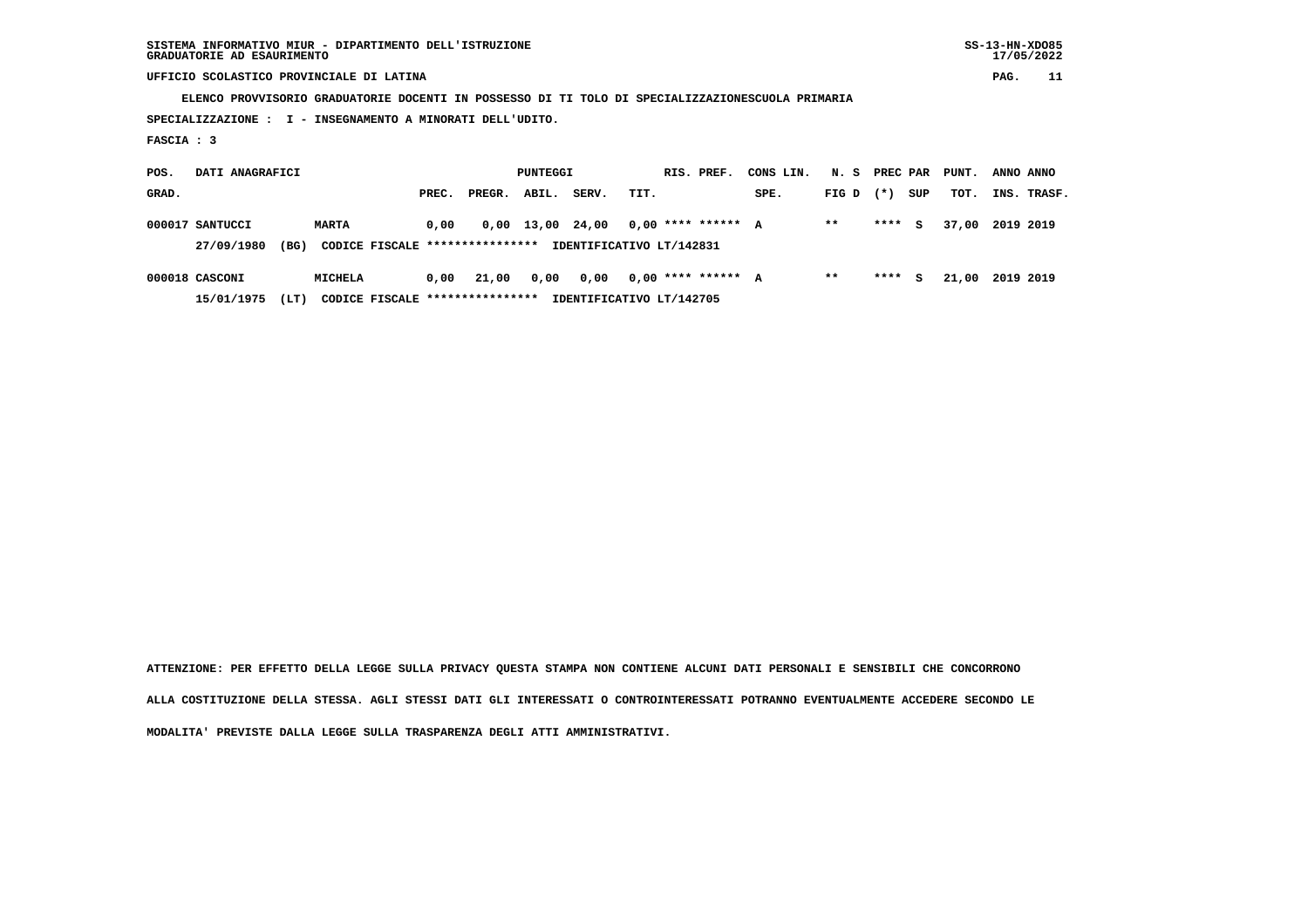**SISTEMA INFORMATIVO MIUR - DIPARTIMENTO DELL'ISTRUZIONE SS-13-HN-XDO85 GRADUATORIE AD ESAURIMENTO 17/05/2022**

# **UFFICIO SCOLASTICO PROVINCIALE DI LATINA PAG. 11**

 **ELENCO PROVVISORIO GRADUATORIE DOCENTI IN POSSESSO DI TI TOLO DI SPECIALIZZAZIONESCUOLA PRIMARIA**

 **SPECIALIZZAZIONE : I - INSEGNAMENTO A MINORATI DELL'UDITO.**

 **FASCIA : 3**

| POS.  | DATI ANAGRAFICI    |                                 |       |        | PUNTEGGI |                          |      | RIS. PREF.           | CONS LIN. |             |         |     | N. S PREC PAR PUNT. | ANNO ANNO |             |
|-------|--------------------|---------------------------------|-------|--------|----------|--------------------------|------|----------------------|-----------|-------------|---------|-----|---------------------|-----------|-------------|
| GRAD. |                    |                                 | PREC. | PREGR. | ABIL.    | SERV.                    | TIT. |                      | SPE.      | $FIG D (*)$ |         | SUP | тот.                |           | INS. TRASF. |
|       | 000017 SANTUCCI    | <b>MARTA</b>                    | 0,00  |        |          | 0,00 13,00 24,00         |      | $0.00$ **** ****** A |           | $* *$       | $***$ S |     | 37.00               | 2019 2019 |             |
|       | (BG)<br>27/09/1980 | CODICE FISCALE **************** |       |        |          | IDENTIFICATIVO LT/142831 |      |                      |           |             |         |     |                     |           |             |
|       |                    |                                 |       |        |          |                          |      |                      |           |             |         |     |                     |           |             |

 **000018 CASCONI MICHELA 0,00 21,00 0,00 0,00 0,00 \*\*\*\* \*\*\*\*\*\* A \*\* \*\*\*\* S 21,00 2019 2019 15/01/1975 (LT) CODICE FISCALE \*\*\*\*\*\*\*\*\*\*\*\*\*\*\*\* IDENTIFICATIVO LT/142705**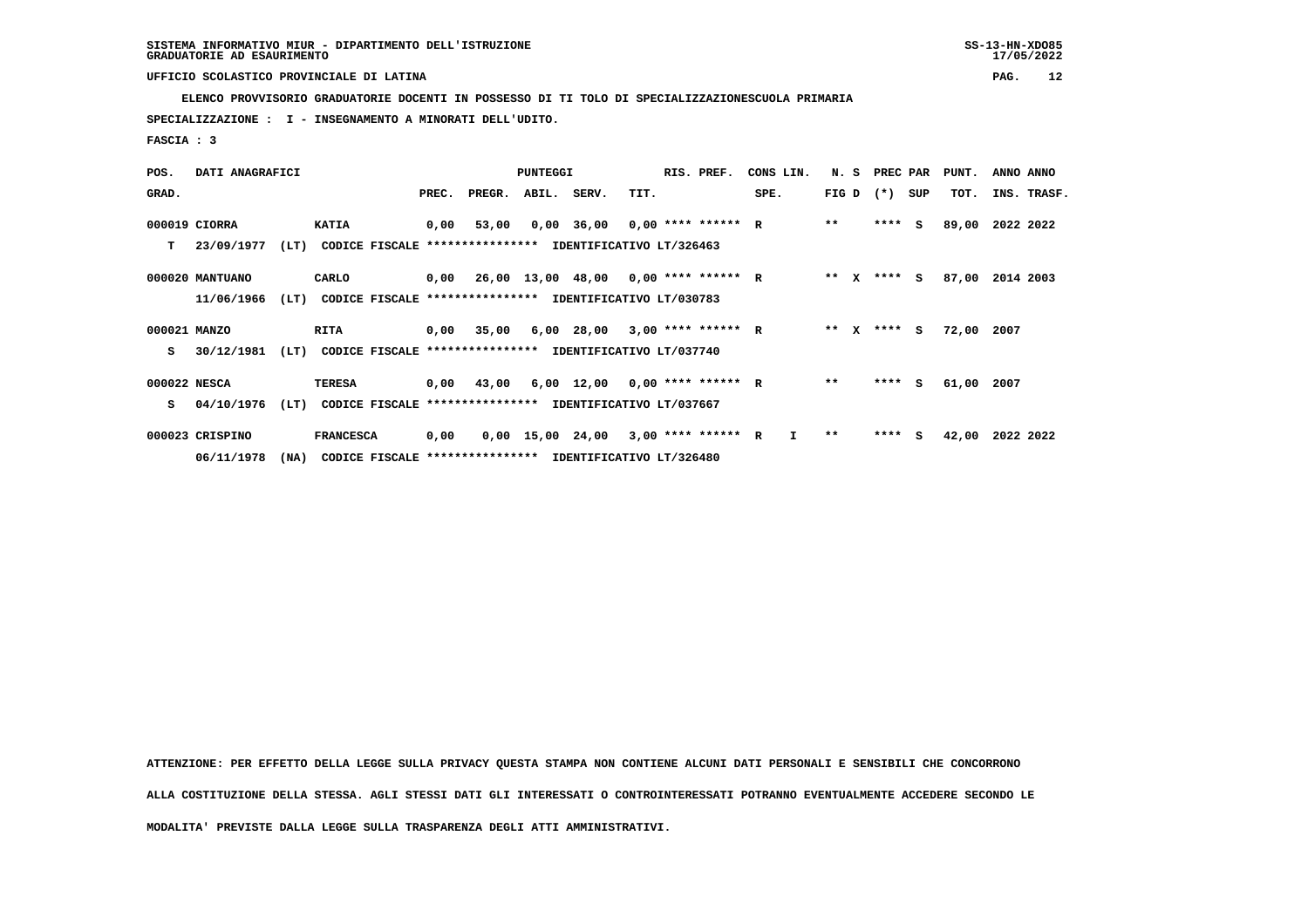**ELENCO PROVVISORIO GRADUATORIE DOCENTI IN POSSESSO DI TI TOLO DI SPECIALIZZAZIONESCUOLA PRIMARIA**

 **SPECIALIZZAZIONE : I - INSEGNAMENTO A MINORATI DELL'UDITO.**

 **FASCIA : 3**

| POS.         | DATI ANAGRAFICI |      |                                                          |       |                                             | <b>PUNTEGGI</b> |                                       |      | RIS. PREF. | CONS LIN.    |              | N. S PREC PAR |     | PUNT. | ANNO ANNO   |
|--------------|-----------------|------|----------------------------------------------------------|-------|---------------------------------------------|-----------------|---------------------------------------|------|------------|--------------|--------------|---------------|-----|-------|-------------|
| GRAD.        |                 |      |                                                          | PREC. | PREGR.                                      | ABIL.           | SERV.                                 | TIT. |            | SPE.         | FIG D        | $(*)$         | SUP | TOT.  | INS. TRASF. |
|              | 000019 CIORRA   |      | <b>KATIA</b>                                             | 0,00  | 53,00                                       |                 | $0,00$ 36,00 0,00 **** ****** R       |      |            |              | $* *$        | $***$ S       |     | 89,00 | 2022 2022   |
| т            | 23/09/1977      | (LT) | CODICE FISCALE **************** IDENTIFICATIVO LT/326463 |       |                                             |                 |                                       |      |            |              |              |               |     |       |             |
|              | 000020 MANTUANO |      | CARLO                                                    |       | $0,00$ 26,00 13,00 48,00 0,00 **** ****** R |                 |                                       |      |            |              | $***$ X      | **** S        |     | 87,00 | 2014 2003   |
|              | 11/06/1966      | (LT) | CODICE FISCALE **************** IDENTIFICATIVO LT/030783 |       |                                             |                 |                                       |      |            |              |              |               |     |       |             |
| 000021 MANZO |                 |      | <b>RITA</b>                                              |       | 0,00 35,00                                  |                 | 6,00 28,00 3,00 **** ****** R         |      |            |              | ** X         | **** S        |     | 72,00 | 2007        |
| s            | 30/12/1981      | (LT) | CODICE FISCALE **************** IDENTIFICATIVO LT/037740 |       |                                             |                 |                                       |      |            |              |              |               |     |       |             |
| 000022 NESCA |                 |      | TERESA                                                   |       | $0,00$ 43,00                                |                 | $6,00$ 12,00 0,00 **** ****** R       |      |            |              | $* *$        | ****          | - S | 61,00 | 2007        |
| s            | 04/10/1976      | (LT) | CODICE FISCALE **************** IDENTIFICATIVO LT/037667 |       |                                             |                 |                                       |      |            |              |              |               |     |       |             |
|              | 000023 CRISPINO |      | <b>FRANCESCA</b>                                         | 0,00  |                                             |                 | $0,00$ 15,00 24,00 3,00 **** ****** R |      |            | $\mathbf{I}$ | $\star\star$ | $***$ S       |     | 42,00 | 2022 2022   |
|              | 06/11/1978      | (MA) | CODICE FISCALE **************** IDENTIFICATIVO LT/326480 |       |                                             |                 |                                       |      |            |              |              |               |     |       |             |

 **ATTENZIONE: PER EFFETTO DELLA LEGGE SULLA PRIVACY QUESTA STAMPA NON CONTIENE ALCUNI DATI PERSONALI E SENSIBILI CHE CONCORRONO ALLA COSTITUZIONE DELLA STESSA. AGLI STESSI DATI GLI INTERESSATI O CONTROINTERESSATI POTRANNO EVENTUALMENTE ACCEDERE SECONDO LE**

 **MODALITA' PREVISTE DALLA LEGGE SULLA TRASPARENZA DEGLI ATTI AMMINISTRATIVI.**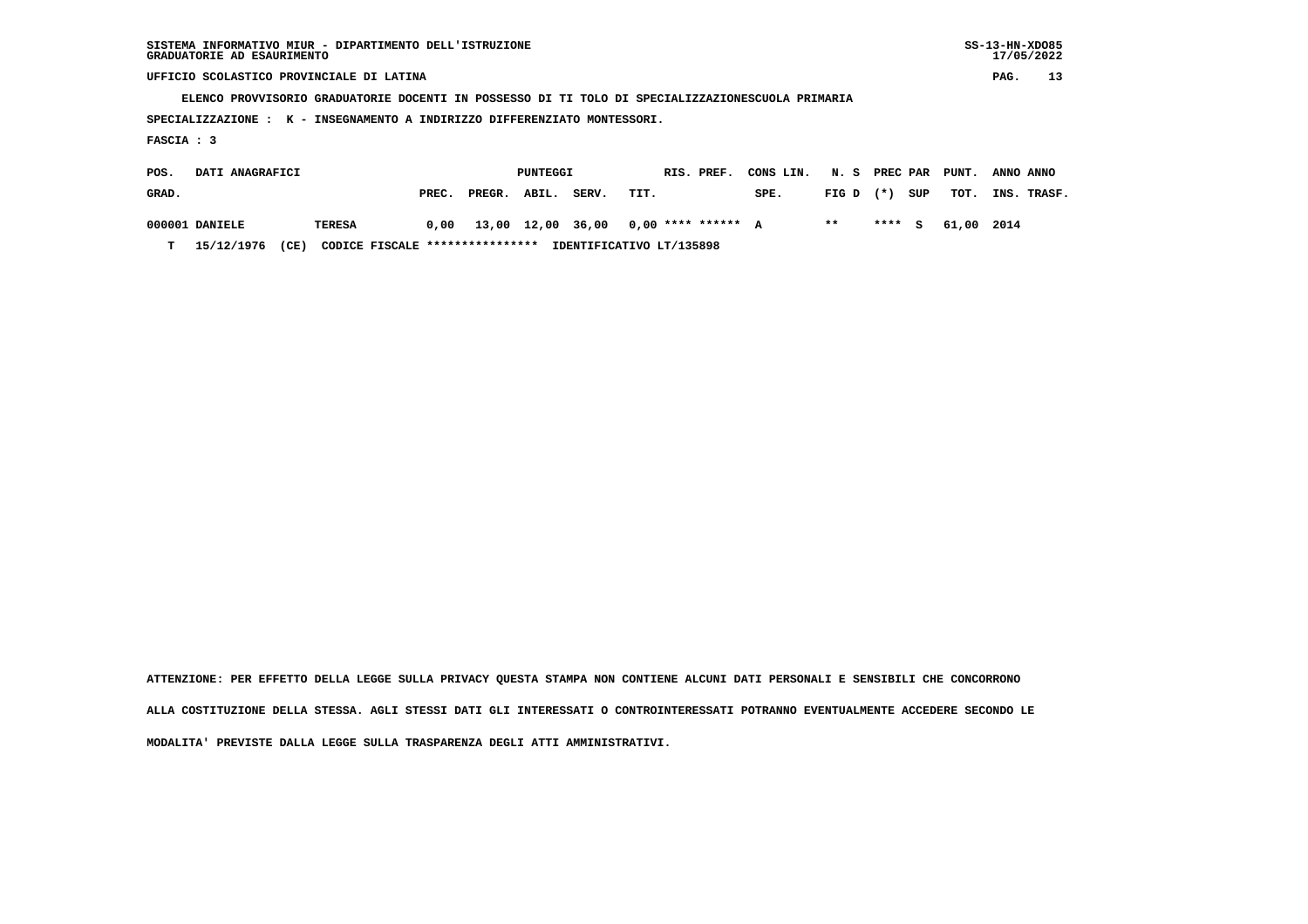| SISTEMA INFORMATIVO MIUR - DIPARTIMENTO DELL'ISTRUZIONE | $SS-13-HN-XDO85$ |
|---------------------------------------------------------|------------------|
| GRADUATORIE AD ESAURIMENTO                              | 17/05/2022       |

 **ELENCO PROVVISORIO GRADUATORIE DOCENTI IN POSSESSO DI TI TOLO DI SPECIALIZZAZIONESCUOLA PRIMARIA**

 **SPECIALIZZAZIONE : K - INSEGNAMENTO A INDIRIZZO DIFFERENZIATO MONTESSORI.**

 **FASCIA : 3**

| POS.  | DATI ANAGRAFICI |      |                                 |       |        | PUNTEGGI |       | RIS. PREF.                                  | CONS LIN. N. S PREC PAR |             |  |     | PUNT.             | ANNO ANNO |             |
|-------|-----------------|------|---------------------------------|-------|--------|----------|-------|---------------------------------------------|-------------------------|-------------|--|-----|-------------------|-----------|-------------|
| GRAD. |                 |      |                                 | PREC. | PREGR. | ABIL.    | SERV. | TIT.                                        | SPE.                    | $FIG D (*)$ |  | SUP | тот.              |           | INS. TRASF. |
|       | 000001 DANIELE  |      | TERESA                          |       |        |          |       | $0,00$ 13,00 12,00 36,00 0,00 **** ****** A |                         | $**$        |  |     | **** S 61,00 2014 |           |             |
| т     | 15/12/1976      | (CE) | CODICE FISCALE **************** |       |        |          |       | IDENTIFICATIVO LT/135898                    |                         |             |  |     |                   |           |             |